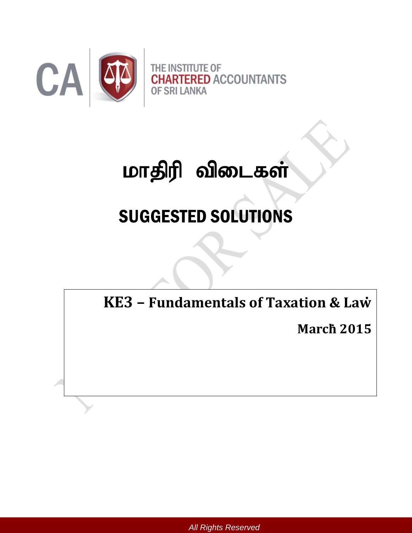

# மாதிரி விடைகள்

# SUGGESTED SOLUTIONS

**KE3 – Fundamentals of Taxation & Law**;

**March**; **2015**

*All Rights Reserved*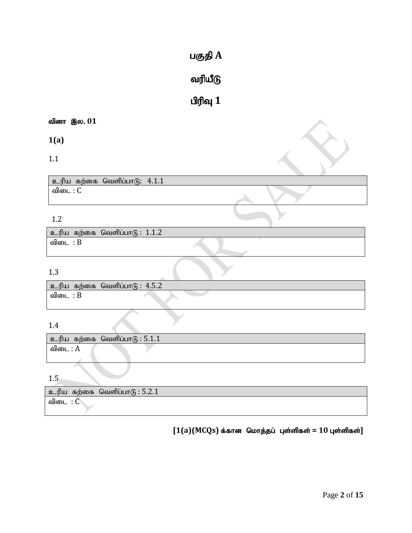# $u$ குதி $A$

# வரியீடு

# $\mathbf{u}$ ரிவு  $\mathbf{1}$

# வினா இல. 01

**1(a)**

1.1

| $\mid$ உரிய கற்கை வெளிப்பாடு: $4.1.1$ |  |
|---------------------------------------|--|
| விடை :                                |  |

# 1.2

|      | ூரிய கற்கை வெளிப்பாடு: 1.1.2 |  |
|------|------------------------------|--|
| விடை |                              |  |

# 1.3

|       | ூடரிய கற்கை வெளிப்பாடு: 4.5.2 |
|-------|-------------------------------|
| പ്പിബ |                               |

# 1.4

|      | $\blacksquare$ உரிய கற்கை வெளிப்பாடு : $5.1.1$ |  |
|------|------------------------------------------------|--|
| விடை |                                                |  |

1.5

| கற்கை<br>உரிய | வெளிப்பா $\mathfrak{G}:5.2.1$ |
|---------------|-------------------------------|
| விடை          |                               |

# $[1(a)(MCQs)$  க்கான மொத்தப் புள்ளிகள் = 10 புள்ளிகள்]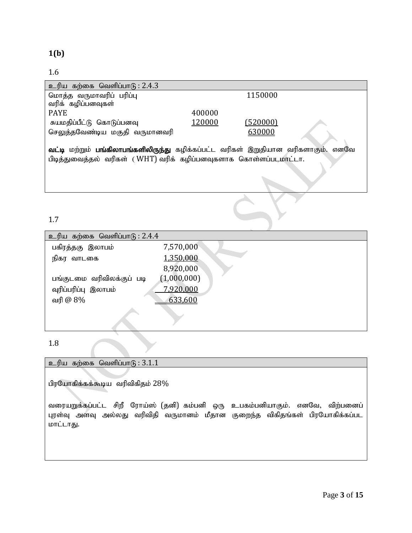### 1.6

| உரிய கற்கை வெளிப்பாடு : 2.4.3                                                     |        |          |
|-----------------------------------------------------------------------------------|--------|----------|
| மொத்த வருமாவரிப் பரிப்பு                                                          |        | 1150000  |
| வரிக் கழிப்பனவுகள்                                                                |        |          |
| <b>PAYE</b>                                                                       | 400000 |          |
| சுயமதிப்பீட்டு கொடுப்பனவு                                                         | 120000 | (520000) |
| செலுத்தவேண்டிய மகுதி வருமானவரி                                                    |        | 630000   |
|                                                                                   |        |          |
| வட்டி மற்றும் பங்கிலாபங்களிலிருந்து கழிக்கப்பட்ட வரிகள் இறுதியான வரிகளாகும். எனவே |        |          |
| பிடித்துவைத்தல் வரிகள் (WHT) வரிக் கழிப்பனவுகளாக கொள்ளப்படமாட்டா.                 |        |          |
|                                                                                   |        |          |
|                                                                                   |        |          |
|                                                                                   |        |          |

1.7

| உரிய கற்கை வெளிப்பாடு : 2.4.4 |             |  |
|-------------------------------|-------------|--|
| பகிரத்தகு இலாபம்              | 7,570,000   |  |
| நிகர வாடகை                    | 1,350,000   |  |
|                               | 8,920,000   |  |
| பங்குடமை வரிவிலக்குப் படி     | (1,000,000) |  |
| வுரிப்பரிப்பு இலாபம்          | 7,920,000   |  |
| வரி <i>@</i> 8%               | 633,600     |  |
|                               |             |  |

## 1.8

உரிய கற்கை வெளிப்பா $(6:3.1.1)$ 

பிரயோகிக்கக்கூடிய வரிவிகிதம்  $28\%$ 

வரையறுக்கப்பட்ட சிறீ ரோய்ஸ் (தனி) கம்பனி ஒரு உபகம்பனியாகும். எனவே, விற்பனைப் புரள்வு அளவு அல்லது வரிவிதி வருமானம் மீதான குறைந்த விகிதங்கள் பிரயோகிக்கப்பட மாட்டாது.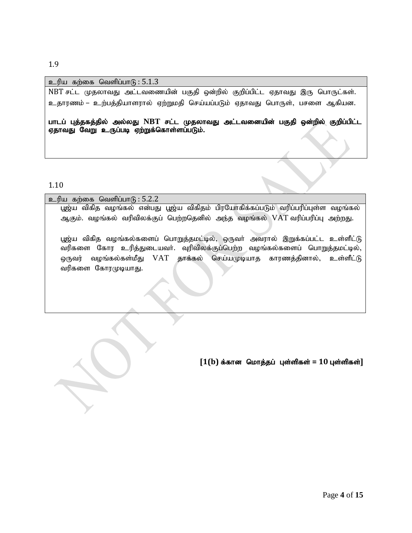# உரிய கற்கை வெளிப்பா $(6:5.1.3)$

NBT சட்ட முதலாவது அட்டவணையின் பகுதி ஒன்றில் குறிப்பிட்ட ஏதாவது இரு பொருட்கள். உதாரணம் – உற்பத்தியாளரால் ஏற்றுமதி செய்யப்படும் ஏதாவது பொருள், பசளை ஆகியன.

பாடப் புத்தகத்தில் அல்லது NBT சட்ட முதலாவது அட்டவனையின் பகுதி ஒன்றில் குறிப்பிட்ட ஏதாவது வேறு உருப்படி ஏற்றுக்கொள்ளப்படும்.

1.10

| உரிய கற்கை வெளிப்பாடு : 5.2.2                                                      |
|------------------------------------------------------------------------------------|
| பூஜ்ய விகித வழங்கல் என்பது பூஜ்ய விகிதம் பிரயோகிக்கப்படும் வரிப்பரிப்புள்ள வழங்கல் |
| ஆகும். வழங்கல் வரிவிலக்குப் பெற்றதெனில் அந்த வழங்கல் VAT வரிப்பரிப்பு அற்றது.      |
|                                                                                    |
| பூஜ்ய விகித வழங்கல்களைப் பொறுத்தமட்டில், ஒருவா் அவரால் இறுக்கப்பட்ட உள்ளீட்டு      |
| வரிகளை கோர உரித்துடையவா். வுரிவிலக்குப்பெற்ற வழங்கல்களைப் பொறுத்தமட்டில்,          |
| வழங்கல்கள்மீது VAT தாக்கல் செய்யமுடியாத காரணத்தினால், உள்ளீட்டு<br>ஒருவர்          |
| வரிகளை கோரமுடியாது.                                                                |
|                                                                                    |
|                                                                                    |

 $[1(b)$  க்கான மொத்தப் புள்ளிகள் =  $10$  புள்ளிகள்]

#### 1.9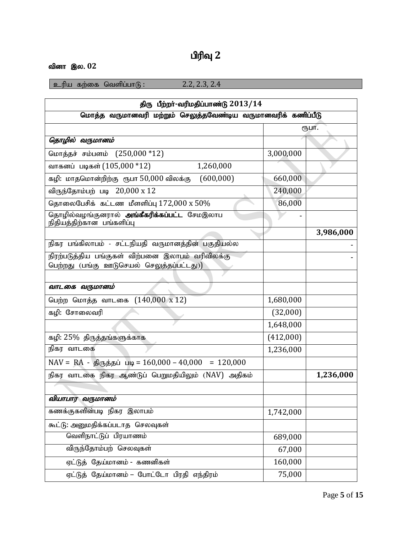# **பிரிவு** 2

# வினா இல. 02

 $2\pi$ ரிய கற்கை வெளிப்பாடு : 2.2, 2.3, 2.4

| திரு பீற்றர்-வரிமதிப்பாண்டு $2013/14$                                    |           |           |
|--------------------------------------------------------------------------|-----------|-----------|
| மொத்த வருமானவரி மற்றும் செலுத்தவேண்டிய வருமானவரிக் கணிப்பீடு             |           |           |
|                                                                          |           | сҧшт.     |
| தொழில் வருமானம்                                                          |           |           |
| மொத்தச் சம்பளம் (250,000 *12)                                            | 3,000,000 |           |
| வாகனப் படிகள் (105,000 *12)<br>1,260,000                                 |           |           |
| கழி: மாதமொன்றிற்கு ரூபா 50,000 விலக்கு (600,000)                         | 660,000   |           |
| விருந்தோம்பற் படி 20,000 x 12                                            | 240,000   |           |
| தொலைபேசிக் கட்டண மீளளிப்பு $172,000 \text{ x } 50\%$                     | 86,000    |           |
| தொழில்வழங்குனரால் அங்கீகரிக்கப்பட்ட சேமஇலாப<br>நிதியத்திற்கான பங்களிப்பு |           |           |
|                                                                          |           | 3,986,000 |
| நிகர பங்கிலாபம் - சட்டநியதி வருமானத்தின் பகுதியல்ல                       |           |           |
| நிரற்படுத்திய பங்குகள் விற்பனை இலாபம் வரிவிலக்கு                         |           |           |
| பெற்றது (பங்கு ஊடுசெயல் செலுத்தப்பட்டது))                                |           |           |
| வாடகை வருமானம்                                                           |           |           |
| பெற்ற மொத்த வாடகை (140,000 x 12)                                         | 1,680,000 |           |
|                                                                          |           |           |
| கழி: சோலைவரி                                                             | (32,000)  |           |
|                                                                          | 1,648,000 |           |
| கழி: 25% திருத்தங்களுக்காக                                               | (412,000) |           |
| நிகர வாடகை                                                               | 1,236,000 |           |
| $NAV = RA - g/(\theta_0)$ க்தப் படி = 160,000 - 40,000 = 120,000         |           |           |
| நிகர வாடகை நிகர ஆண்டுப் பெறுமதியிலும் (NAV) அதிகம்                       |           | 1,236,000 |
|                                                                          |           |           |
| வியாபார வருமானம்                                                         |           |           |
| கணக்குகளின்படி நிகர இலாபம்                                               | 1,742,000 |           |
| கூட்டு: அனுமதிக்கப்படாத செலவுகள்                                         |           |           |
| வெளிநாட்டுப் பிரயாணம்                                                    | 689,000   |           |
| விருந்தோம்பற் செலவுகள்                                                   | 67,000    |           |
| ஏட்டுத் தேய்மானம் - கணனிகள்                                              | 160,000   |           |
| ஏட்டுத் தேய்மானம் – போட்டோ பிரதி எந்திரம்                                | 75,000    |           |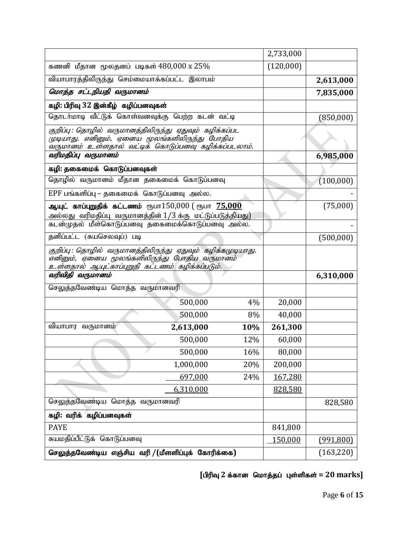|                                                                                                                                                                     |           |         | 2,733,000  |            |
|---------------------------------------------------------------------------------------------------------------------------------------------------------------------|-----------|---------|------------|------------|
| கணனி மீதான மூலதனப் படிகள் $480,000 \text{ x } 25\%$                                                                                                                 |           |         | (120,000)  |            |
| வியாபாரத்திலிருந்து செம்மையாக்கப்பட்ட இலாபம்                                                                                                                        |           |         | 2,613,000  |            |
| மொத்த சட்டநியதி வருமானம்                                                                                                                                            |           |         |            | 7,835,000  |
| கழி: பிரிவு 32 இன்கீழ் கழிப்பனவுகள்                                                                                                                                 |           |         |            |            |
| தொடர்மாடி வீட்டுக் கொள்வனவுக்கு பெற்ற கடன் வட்டி                                                                                                                    |           |         |            | (850,000)  |
| குறிப்பு : தொழில் வருமானத்திலிருந்து ஏதுவும் கழிக்கப்பட<br>முடியாது. எனினும், ஏனைய மூலங்களிலிருந்து போதிய<br>வருமானம் உள்ளதால் வட்டிக் கொடுப்பனவு கழிக்கப்படலாம்.   |           |         |            |            |
| வரிமதிப்பு வருமானம்                                                                                                                                                 |           |         |            | 6,985,000  |
| கழி: தகைமைக் கொடுப்பனவுகள்                                                                                                                                          |           |         |            |            |
| தொழில் வருமானம் மீதான தகைமைக் கொடுப்பனவு                                                                                                                            |           |         |            | (100,000)  |
| EPF பங்களிப்பு – தகைமைக் கொடுப்பனவு அல்ல.                                                                                                                           |           |         |            |            |
| ஆயுட் <b>காப்புறுதிக் கட்டணம்</b> ரூபா $150{,}000$ ( ரூபா $\overline{75{,}000}$                                                                                     |           |         |            | (75,000)   |
| அல்லது வரிமதிப்பு வருமானத்தின் 1/3 க்கு மட்டுப்படுத்தியது)<br>கடன்முதல் மீள்கொடுப்பனவு தகைமைக்கொடுப்பனவு அல்ல.                                                      |           |         |            |            |
| தனிப்பட்ட (சுயசெலவுப்) படி                                                                                                                                          |           |         |            | (500,000)  |
| குறிப்பு : தொழில்  வருமானத்திலிருந்து  ஏதுவும்  கழிக்கமுடியாது.<br>எனினும், ஏனைய மூலங்களிலிருந்து போதிய வருமானம்<br>உள்ளதால் ஆயுட்காப்புறுதி கட்டணம் கழிக்கப்படும். |           |         |            |            |
| வரிவிதி வருமானம்                                                                                                                                                    |           |         | 6,310,000  |            |
| செலுத்தவேண்டிய மொத்த வருமானவரி                                                                                                                                      |           |         |            |            |
|                                                                                                                                                                     | 500,000   | 4%      | 20,000     |            |
|                                                                                                                                                                     | 500,000   | 8%      | 40,000     |            |
| வியாபார வருமானம்                                                                                                                                                    | 2,613,000 | 10%     | 261,300    |            |
|                                                                                                                                                                     | 500,000   | 12%     | 60,000     |            |
|                                                                                                                                                                     | 500,000   | 16%     | 80,000     |            |
|                                                                                                                                                                     | 1,000,000 | 20%     | 200,000    |            |
|                                                                                                                                                                     | 697,000   | 24%     | 167,280    |            |
|                                                                                                                                                                     | 6,310,000 |         | 828,580    |            |
| செலுத்தவேண்டிய மொத்த வருமானவரி                                                                                                                                      |           |         | 828,580    |            |
| கழி: வரிக் கழிப்பனவுகள்                                                                                                                                             |           |         |            |            |
| <b>PAYE</b>                                                                                                                                                         |           |         | 841,800    |            |
| சுயமதிப்பீட்டுக் கொடுப்பனவு                                                                                                                                         |           | 150,000 | (991, 800) |            |
| செலுத்தவேண்டிய எஞ்சிய வரி / (மீளளிப்புக் கோரிக்கை)                                                                                                                  |           |         |            | (163, 220) |

 $[$ பிரிவு 2 க்கான மொத்தப் புள்ளிகள் = 20 marks]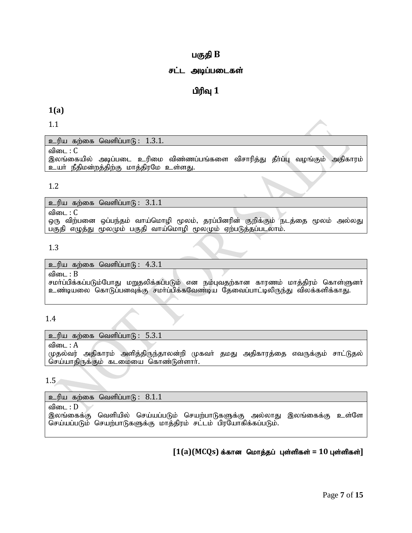## பகுதி **B**

#### சட்ட அடிப்படைகள்

## **பிரிவு** 1

#### **1(a)**

1.1

 $p$ ெரிய கற்கை வெளிப்பா $(p; 1.3.1.1)$ 

விடை :  $C$ 

இலங்கையில் அடிப்படை உரிமை விண்ணப்பங்களை விசாரித்து தீா்ப்பு வழங்கும் அதிகாரம் உயர் நீதிமன்றத்திற்கு மாத்திரமே உள்ளது.

#### 1.2

உரிய கற்கை வெளிப்பா $(6: 3.1.1)$ விடை $: C$ ஒரு விற்பனை ஒப்பந்தம் வாய்மொழி மூலம், தரப்பினரின் குறிக்கும் நடத்தை மூலம் அல்லது பகுதி எழுத்து மூலமும் பகுதி வாய்மொழி மூலமும் ஏற்படுத்தப்படலாம்.

#### 1.3

உரிய கற்கை வெளிப்பா $\beta$ :  $4.3.1$ விடை $: B$ சமா்ப்பிக்கப்படும்போது மறுதலிக்கப்படும் என நம்புவதற்கான காரணம் மாத்திரம் கொள்ளுனா் உண்டியலை கொடுப்பனவுக்கு சமாப்பிக்கவேண்டிய தேவைப்பாட்டிலிருந்து விலக்களிக்காது.

#### 1.4

உரிய கற்கை வெளிப்பா $\mathfrak{G}:$  5.3.1

விடை :  $A$ 

முதல்வர் அதிகாரம் அளித்திருந்தாலன்றி முகவா் தமது அதிகாரத்தை எவருக்கும் சாட்டுதல் செய்யாதிருக்கும் கடமையை கொண்டுள்ளார்.

1.5

உரிய கற்கை வெளிப்பா $G: 8.1.1$ 

விடை :  $D$ இலங்கைக்கு வெளியில் செய்யப்படும் செயற்பாடுகளுக்கு அல்லாது இலங்கைக்கு உள்ளே செய்யப்படும் செயற்பாடுகளுக்கு மாத்திரம் சட்டம் பிரயோகிக்கப்படும்.

## $[1(a)(MCQs)$  க்கான மொத்தப் புள்ளிகள் =  $10$  புள்ளிகள்]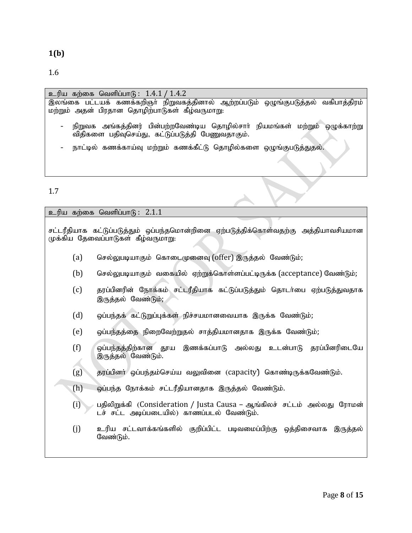**1(b)**

1.6

# உரிய கற்கை வெளிப்பாடு:  $1.4.1 / 1.4.2$ ,<br>இலங்கை பட்டயக் கணக்கறிஞா் நிறுவகத்தினால் ஆற்றப்படும் ஒழுங்குபடுத்தல் வகிபாத்திரம்  $\sim$ மற்றும் அதன் பிரதான தொழிற்பாடுகள் கீழ்வருமாறு: - நிறுவக அங்கத்தினர் பின்பற்றவேண்டிய தொழில்சாா் நியமங்கள் மற்றும் ஒழுக்காற்று நிதிகளை பதிவுசெய்து, கட்டுப்படுத்தி பேணுவதாகும். – நாட்டில் கணக்காய்வு மற்றும் கணக்கீட்டு தொழில்களை ஒழுங்குபடுத்துதல்.

### 1.7

|     | உரிய கற்கை வெளிப்பாடு: 2.1.1                                                                                             |
|-----|--------------------------------------------------------------------------------------------------------------------------|
|     | சட்டரீதியாக கட்டுப்படுத்தும் ஒப்பந்தமொன்றினை ஏற்படுத்திக்கொள்வதற்கு அத்தியாவசியமான<br>முக்கிய தேவைப்பாடுகள் கீழ்வருமாறு: |
| (a) | செல்லுபடியாகும் கொடைமுனைவு (offer) இருத்தல் வேண்டும்;                                                                    |
| (b) | செல்லுபடியாகும் வகையில் ஏற்றுக்கொள்ளப்பட்டிருக்க (acceptance) வேண்டும்;                                                  |
| (c) | தரப்பினரின் நோக்கம் சட்டரீதியாக கட்டுப்படுத்தும் தொடர்பை ஏற்படுத்துவதாக<br>இருத்தல் வேண்டும்;                            |
| (d) | ஒப்பந்தக் கட்டுறுப்புக்கள் நிச்சயமானவையாக இருக்க வேண்டும்;                                                               |
| (e) | ஒப்பந்தத்தை நிறைவேற்றுதல் சாத்தியமானதாக இருக்க வேண்டும்;                                                                 |
| (f) | ஒப்பந்தத்திற்கான தூய இணக்கப்பாடு அல்லது உடன்பாடு தரப்பினரிடையே<br>இருத்தல் வேண்டும்.                                     |
| (g) | தரப்பினர் ஒப்பந்தம்செய்ய வலுவினை (capacity) கொண்டிருக்கவேண்டும்.                                                         |
| (h) | ஒப்பந்த நோக்கம் சட்டரீதியானதாக இருத்தல் வேண்டும்.                                                                        |
| (i) | பதிலிறுக்கி (Consideration / Justa Causa – ஆங்கிலச்  சட்டம்  அல்லது  ரோமன்<br>டச் சட்ட அடிப்படையில்) காணப்படல் வேண்டும். |
| (j) | உரிய சட்டவாக்கங்களில் குறிப்பிட்ட படிவமைப்பிற்கு ஒத்திசைவாக<br>இருத்தல்<br>வேண்டும்.                                     |
|     |                                                                                                                          |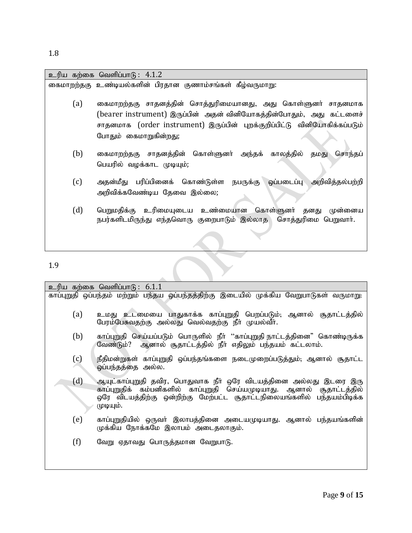1.8

|     | உரிய கற்கை வெளிப்பாடு: 4.1.2                                                                                                                                                                                      |
|-----|-------------------------------------------------------------------------------------------------------------------------------------------------------------------------------------------------------------------|
|     | கைமாறற்தகு உண்டியல்களின் பிரதான குணாம்சங்கள் கீழ்வருமாறு:                                                                                                                                                         |
| (a) | கைமாறற்தகு சாதனத்தின் சொத்துரிமையானது, அது கொள்ளுனர் சாதனமாக<br>(bearer instrument) இருப்பின் அதன் வினியோகத்தின்போதும், அது கட்டளைச்<br>சாதனமாக (order instrument) இருப்பின் புறக்குறிப்பிட்டு வினியோகிக்கப்படும் |
|     | போதும் கைமாறுகின்றது;                                                                                                                                                                                             |
| (b) | கைமாறற்தகு சாதனத்தின் கொள்ளுனா் அந்தக் காலத்தில்<br>சொந்தப்<br>தமது<br>பெயரில் வழக்காட முடியும்;                                                                                                                  |
| (c) | அதன்மீது பரிப்பினைக் கொண்டுள்ள நபருக்கு ஒப்படைப்பு அறிவித்தல்பற்றி<br>அறிவிக்கவேண்டிய தேவை இல்லை;                                                                                                                 |
| (d) | பெறுமதிக்கு உரிமையுடைய உண்மையான கொள்ளுனர் தனது<br>முன்னைய<br>நபர்களிடமிருந்து எந்தவொரு குறைபாடும் இல்லாத சொத்துரிமை பெறுவாா்.                                                                                     |
|     |                                                                                                                                                                                                                   |
| 1.9 |                                                                                                                                                                                                                   |

| உரிய கற்கை வெளிப்பாடு: 6.1.1                                                            |                                                                                                                                                                                                                                    |  |
|-----------------------------------------------------------------------------------------|------------------------------------------------------------------------------------------------------------------------------------------------------------------------------------------------------------------------------------|--|
| காப்புறுதி ஒப்பந்தம் மற்றும் பந்தய ஒப்பந்தத்திற்கு இடையில் முக்கிய வேறுபாடுகள் வருமாறு: |                                                                                                                                                                                                                                    |  |
| (a)                                                                                     | உமது உடமையை பாதுகாக்க காப்புறுதி பெறப்படும். ஆனால் சூதாட்டத்தில்<br>பேரம்பேசுவதற்கு அல்லது வெல்வதற்கு நீா் முயல்வீா்.                                                                                                              |  |
| (b)                                                                                     | காப்புறுதி செய்யப்படும் பொருளில் நீா் ''காப்புறுதி நாட்டத்தினை" கொண்டிருக்க<br>வேண்டும்? ஆனால் சூதாட்டத்தில் நீா் எதிலும் பந்தயம் கட்டலாம்.                                                                                        |  |
| (c)                                                                                     | நீதிமன்றுகள் காப்புறுதி ஒப்பந்தங்களை நடைமுறைப்படுத்தும், ஆனால் சூதாட்ட<br>ஒப்பந்தத்தை அல்ல.                                                                                                                                        |  |
| (d)                                                                                     | ஆயுட்காப்புறுதி தவிர, பொதுவாக நீா் ஒரே விடயத்தினை அல்லது இடரை இரு<br>காப்புறுதிக் கம்பனிகளில் காப்புறுதி செய்யமுடியாது. ஆனால் சூதாட்டத்தில்<br>ஒரே விடயத்திற்கு ஒன்றிற்கு மேற்பட்ட சூதாட்டநிலையங்களில் பந்தயம்பிடிக்க<br>முடியும். |  |
| (e)                                                                                     | காப்புறுதியில் ஒருவா் இலாபத்தினை அடையமுடியாது. ஆனால் பந்தயங்களின்<br>முக்கிய நோக்கமே இலாபம் அடைதலாகும்.                                                                                                                            |  |
| (f)                                                                                     | வேறு ஏதாவது பொருத்தமான வேறுபாடு.                                                                                                                                                                                                   |  |
|                                                                                         |                                                                                                                                                                                                                                    |  |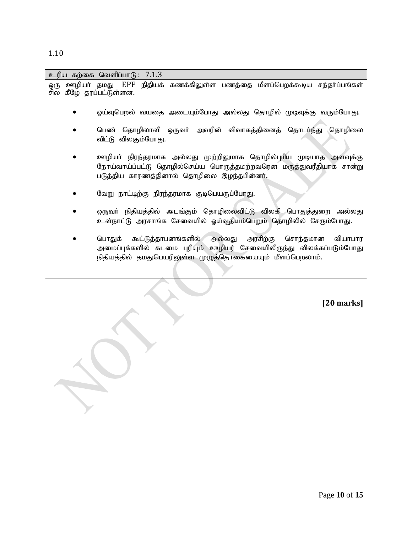| உரிய கற்கை வெளிப்பாடு: 7.1.3 |                                                                                                                                                                                                        |
|------------------------------|--------------------------------------------------------------------------------------------------------------------------------------------------------------------------------------------------------|
| ஒரு                          | ஊழியா் தமது EPF நிதியக் கணக்கிலுள்ள பணத்தை மீளப்பெறக்கூடிய சந்தா்ப்பங்கள்                                                                                                                              |
| சில கீழே தரப்பட்டுள்ளன.      |                                                                                                                                                                                                        |
|                              | ஓய்வுபெறல் வயதை அடையும்போது அல்லது தொழில் முடிவுக்கு வரும்போது.                                                                                                                                        |
|                              | பெண் தொழிலாளி ஒருவர் அவரின் விவாகத்தினைத் தொடர்ந்து தொழிலை<br>விட்டு விலகும்போது.                                                                                                                      |
|                              | ஊழியா் நிரந்தரமாக அல்லது முற்றிலுமாக தொழில்புாிய முடியாத அளவுக்கு<br>நோய்வாய்ப்பட்டு தொழில்செய்ய பொருத்தமற்றவரென மருத்துவரீதியாக சான்று<br>படுத்திய காரணத்தினால் தொழிலை இழந்தபின்னர்.                  |
|                              | வேறு நாட்டிற்கு நிரந்தரமாக குடிபெயருப்போது.                                                                                                                                                            |
|                              | ஒருவா் நிதியத்தில் அடங்கும் தொழிலைவிட்டு விலகி பொதுத்துறை அல்லது<br>உள்நாட்டு அரசாங்க சேவையில் ஓய்வூதியம்பெறும் தொழிலில் சேரும்போது.                                                                   |
|                              | பொதுக் கூட்டுத்தாபனங்களில் அல்லது அரசிற்கு<br>வியாபார<br>சொந்தமான<br>அமைப்புக்களில் கடமை புரியும் ஊழியர் சேவையிலிருந்து விலக்கப்படும்போது<br>நிதியத்தில் தமதுபெயரிலுள்ள முழுத்தொகையையும் மீளப்பெறலாம். |

 **[20 marks]**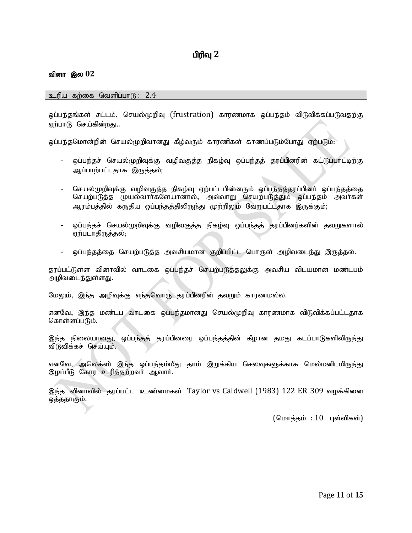#### வினா இல 02

உரிய கற்கை வெளிப்பா $G: 2.4$ 

ஒப்பந்தங்கள் சட்டம், செயல்முறிவு (frustration) காரணமாக ஒப்பந்தம் விடுவிக்கப்படுவதற்கு ஏற்பாடு செய்கின்றது..

லப்பந்தமொன்றின் செயல்முறிவானது கீம்வரும் காரணிகள் காணப்படும்போது ஏற்படும்:

- ஒப்பந்தச் செயல்முறிவுக்கு வழிவகுத்த நிகழ்வு ஒப்பந்தத் தரப்பினரின் கட்டுப்பாட்டிற்கு ஆப்பாற்பட்டதாக இருத்தல்;
- செயல்முறிவுக்கு வழிவகுத்த நிகழ்வு ஏற்பட்டபின்னரும் ஒப்பந்தத்தரப்பினர் ஒப்பந்தத்தை செயற்படுத்த முயல்வாா்களேயானால், அவ்வாறு செயற்படுத்தும் ஒப்பந்தம் அவா்கள் ஆரம்பத்தில் கருதிய ஒப்பந்தத்திலிருந்து முற்றிலும் வேறுபட்டதாக இருக்கும்;
- ஒப்பந்தச் செயல்முறிவுக்கு வழிவகுத்த நிகழ்வு ஒப்பந்தத் தரப்பினர்களின் தவறுகளால் ஏற்படாதிருத்தல்;
- ஒப்பந்தத்தை செயற்படுத்த அவசியமான குறிப்பிட்ட பொருள் அழிவடைந்து இருத்தல்.

தரப்பட்டுள்ள வினாவில் வாடகை ஒப்பந்தச் செயற்படுத்தலுக்கு அவசிய விடயமான மண்டபம் அழிவடைந்துள்ளது.

மேலும், இந்த அழிவுக்கு எந்தவொரு தரப்பினரின் தவறும் காரணமல்ல.

எனவே, இந்த மண்டப வாடகை ஒப்பந்தமானது செயல்முறிவு காரணமாக விடுவிக்கப்பட்டதாக கொள்ளப்படும்.

இந்த நிலையானது, ஒப்பந்தத் தரப்பினரை ஒப்பந்தத்தின் கீழான தமது கடப்பாடுகளிலிருந்து விடுவிக்கச் செய்யும்.

எனவே, அலெக்ஸ் இந்த ஒப்பந்தம்மீது தாம் இறுக்கிய செலவுகளுக்காக மெல்மனிடமிருந்து இழப்பீடு கோர உரித்தற்றவர் ஆவார்.

இந்த வினாவில் தூப்பட்ட உண்மைகள் Taylor vs Caldwell (1983) 122 ER 309 வழக்கினை ஒத்ததாகும்.

 $(G \cup \text{inf} \text{ is } : 10$  புள்ளிகள்)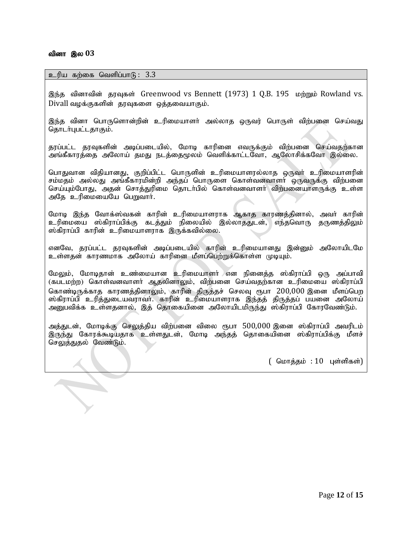#### வினா இல 03

 $\overline{\mathbb{Z}}$ 

#### $p$ ெரிய கற்கை வெளிப்பாடு:  $3.3$

இந்த வினாவின் தூவுகள் Greenwood vs Bennett (1973) 1 O.B. 195 மற்றும் Rowland vs. Divall வழக்குகளின் தரவுகளை ஒத்தவையாகும்.

இந்த வினா பொருளொன்றின் உரிமையாளா் அல்லாத ஒருவர் பொருள் விற்பனை செய்வது தொடர்புபட்டதாகும்.

தரப்பட்ட தரவுகளின் அடிப்படையில், மோடி காரினை எவருக்கும் விற்பனை செய்வதற்கான அங்கீகாரத்தை அலோய் தமது நடத்தைமூலம் வெளிக்காட்டவோ, ஆலோசிக்கவோ இல்லை.

பொதுவான விதியானது, குறிப்பிட்ட பொருளின் உரிமையாளரல்லாத ஒருவர் உரிமையாளரின் சம்மதம் அல்லது அங்கீகாரமின்றி அந்தப் பொருளை கொள்வனவாளா் ஒருவருக்கு விற்பனை செய்யும்போது, அதன் சொத்துரிமை தொடர்பில் கொள்வனவாளர் விற்பனையாளருக்கு உள்ள அதே உரிமையையே பெறுவார்.

மோடி இந்த வோக்ஸ்வகன் காரின் உரிமையாளராக ஆகாத காரணத்தினால், அவர் காரின் உரிமையை ஸ்கிராப்பிக்கு கடத்தும் நிலையில் இல்லாததுடன், எந்தவொரு தருணத்திலும் ஸ்கிராப்பி காரின் உரிமையாளராக இருக்கவில்லை.

எனவே, தரப்பட்ட தரவுகளின் அடிப்படையில் காரின் உரிமையானது இன்னும் அலோயிடமே உள்ளதன் காரணமாக அலோய் காரினை மீளப்பெற்றுக்கொள்ள முடியும்.

மேலும், மோடிதான் உண்மையான உரிமையாளர் என நினைத்த ஸ்கிராப்பி ஒரு அப்பாவி (கபடமற்ற) கொள்வனவாளர் ஆதலினாலும், விற்பனை செய்வதற்கான உரிமையை ஸ்கிராப்பி கொண்டிருக்காத காரணத்தினாலும், காரின் திருத்தச் செலவு ரூபா 200,000 இனை மீளப்பெற ஸ்கிராப்பி உரித்துடையவராவர். காரின் உரிமையாளராக இந்தத் திருத்தப் பயனை அலோய் அனுபவிக்க உள்ளதனால், இத் தொகையினை அலோயிடமிருந்து ஸ்கிராப்பி கோரவேண்டும்.

அத்துடன், மோடிக்கு செலுத்திய விற்பனை விலை ரூபா  $500,\!000$  இனை ஸ்கிராப்பி அவரிடம் இருந்து கோரக்கூடியதாக உள்ளதுடன், மோடி அந்தத் தொகையினை ஸ்கிராப்பிக்கு மீளச் செலுத்துதல் வேண்டும்.

 $($  மொத்தம் :  $10$  புள்ளிகள் $)$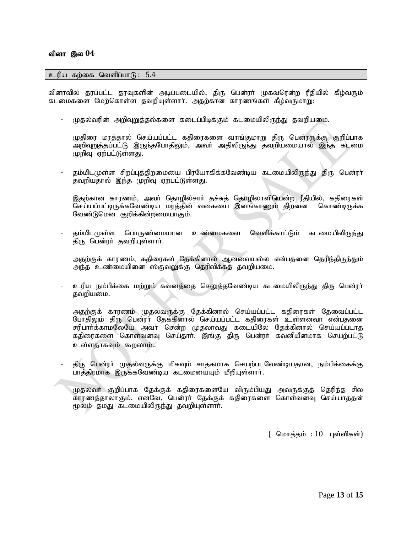#### உரிய கற்கை வெளிப்பா $f$  : 5.4

வினாவில் தரப்பட்ட தரவுகளின் அடிப்படையில், திரு பென்ரா் முகவரென்ற ரீதியில் கீழ்வரும் கடமைகளை மேற்கொள்ள தவறியுள்ளார். அதற்கான காரணங்கள் கீழ்வருமாறு:

முதல்வரின் அறிவுறுத்தல்களை கடைப்பிடிக்கும் கடமையிலிருந்து தவறியமை.

முதிரை மரத்தால் செய்யப்பட்ட கதிரைகளை வாங்குமாறு திரு பென்ரருக்கு குறிப்பாக அறிவுறுத்தப்பட்டு இருந்தபோதிலும், அவா் அதிலிருந்து தவறியமையால் இந்த கடமை முறிவு ஏற்பட்டுள்ளது.

தம்மிடமுள்ள சிறப்பத்திறமையை பிரயோகிக்கவேண்டிய கடமையிலிருந்து திரு பென்ரா் தவறியதால் இந்த முறிவு ஏற்பட்டுள்ளது.

இதற்கான காரணம், அவர் தொழில்சார் தச்சுத் தொழிலாளியென்ற ரீதியில், கதிரைகள் செய்யப்பட்டிருக்கவேண்டிய மரத்தின் வகையை இனங்காணும் திறனை கொண்டிருக்க வேண்டுமென குறிக்கின்றமையாகும்.

தம்மிடமுள்ள பொருண்மையான உண்மைகளை வெளிக்காட்டும் கடமையிலிருந்து திரு பென்ரா் தவறியுள்ளாா்.

அதற்குக் காரணம், கதிரைகள் தேக்கினால் ஆனவையல்ல என்பதனை தெரிந்திருந்தும் அந்த உண்மையினை ஸ்குவலுக்கு தெரிவிக்கத் தவறியமை.

உரிய நம்பிக்கை மற்றும் கவனத்தை செலுத்தவேண்டிய கடமையிலிருந்து திரு பென்ரா் தவறியமை.

அதற்குக் காரணம் முதல்வருக்கு தேக்கினால் செய்யப்பட்ட கதிரைகள் தேவைப்பட்ட போதிலும் திரு பென்ரா் தேக்கினால் செய்யப்பட்ட கதிரைகள் உள்ளனவா என்பதனை சரிபார்க்காமலேயே அவர் சென்ற முதலாவது கடையிலே தேக்கினால் செய்யப்படாத கதிரைகளை கொள்வனவு செய்தாா். இங்கு திரு பென்ரா் கவனியீனமாக செயற்பட்டு உள்ளதாகவும் கூறலாம்..

திரு பென்ரா் முதல்வருக்கு மிகவும் சாதகமாக செயற்படவேண்டியதான, நம்பிக்கைக்கு பாத்திரமாக இருக்கவேண்டிய கடமையையும் மீறியுள்ளார்.

முதல்வா் குறிப்பாக தேக்குக் கதிரைகளையே விரும்பியது அவருக்குத் தெரிந்த சில காரணத்தாலாகும். எனவே, பென்ரா் தேக்குக் கதிரைகளை கொள்வனவு செய்யாததன் மூலம் தமது கடமையிலிருந்து தவறியுள்ளாா்.

 $($  மொத்தம் :  $10$  புள்ளிகள் $)$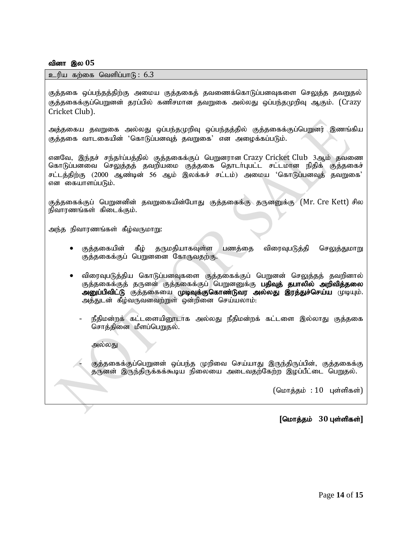#### வினா இல 05

#### உரிய கற்கை வெளிப்பா $6: 6.3$

குத்தகை ஒப்பந்தத்திற்கு அமைய குத்தகைத் தவணைக்கொடுப்பனவுகளை செலுத்த தவறுதல் குக்ககைக்குப்பெறுனன் கரப்பில் கணிசமான கவறுகை அல்லது ஒப்பந்தமுறிவு ஆகும். (Crazy Cricket Club).

அத்தகைய தவறுகை அல்லது ஒப்பந்தமுறிவு ஒப்பந்தத்தில் குத்தகைக்குப்பெறுனர் இணங்கிய குத்தகை வாடகையின் 'கொடுப்பனவுத் தவறுகை' என அழைக்கப்படும்.

எனவே, இந்தச் சந்தர்ப்பத்தில் குத்தகைக்குப் பெறுனரான Crazy Cricket Club 3ஆம் தவணை கொடுப்பனவை செலுத்தத் தவறியமை குத்தகை தொடா்புபட்ட சட்டமான நிதிக் குத்தகைச் சட்டத்திற்கு (2000 ஆண்டின் 56 ஆம் இலக்கச் சட்டம்) அமைய 'கொடுப்பனவுத் தவறுகை' என கையாளப்படும்.

குத்தகைக்குப் பெறுனனின் தவறுகையின்போது குத்தகைக்கு தருனனுக்கு (Mr. Cre Kett) சில நிவாரணங்கள் கிடைக்கும்.

அந்த நிவாரணங்கள் கீழ்வருமாறு:

- குத்தகையின் கீழ் தருமதியாகவுள்ள பணத்தை விரைவுபடுத்தி செலுத்துமாறு குத்தகைக்குப் பெறுனனை கோருவதற்கு.
- விரைவுபடுத்திய கொடுப்பனவுகளை குத்தகைக்குப் பெறுனன் செலுத்தத் தவறினால் குத்தகைக்குத் தருனன் குத்தகைக்குப் பெறுனனுக்கு **பதிவுத் தபாலில் அறிவித்தலை** அனுப்பிவிட்டு குத்தகையை முடிவுக்குகொண்டுவர அல்லது இரத்துச்செய்ய முடியும். அத்துடன் கீழ்வருவனவற்றுள் ஒன்றினை செய்யலாம்.
	- நீதிமன்றக் கட்டளையிரைடாக அல்லது நீதிமன்றக் கட்டளை இல்லாது குத்தகை சொத்தினை மீளப்பெறுதல்.

#### அல்லது

குத்தகைக்குப்பெறுனன் ஒப்பந்த முறிவை செய்யாது இருந்திருப்பின், குத்தகைக்கு தருனன் இருந்திருக்கக்கூடிய நிலையை அடைவதற்கேற்ற இழப்பீட்டை பெறுதல்.

 $(G \cup \text{Ind}_2 \text{Ind}_2 : 10 \text{Ind}_2 \text{Ind}_2 \text{Ind}_2)$ 

 $[$ மொத்தம் 30 புள்ளிகள்]